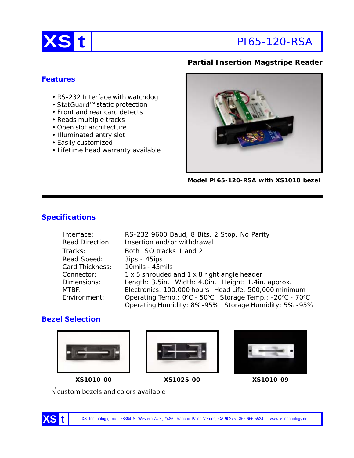

## **Partial Insertion Magstripe Reader**

## **Features**

- RS-232 Interface with watchdog
- StatGuard™ static protection
- Front and rear card detects
- Reads multiple tracks
- Open slot architecture
- Illuminated entry slot
- Easily customized
- Lifetime head warranty available



**Model PI65-120-RSA with XS1010 bezel**

# **Specifications**

| Interface:             | RS-232 9600 Baud, 8 Bits, 2 Stop, No Parity             |
|------------------------|---------------------------------------------------------|
| <b>Read Direction:</b> | Insertion and/or withdrawal                             |
| Tracks:                | Both ISO tracks 1 and 2                                 |
| Read Speed:            | $3ips - 45ips$                                          |
| Card Thickness:        | 10mils - 45mils                                         |
| Connector:             | 1 x 5 shrouded and 1 x 8 right angle header             |
| Dimensions:            | Length: 3.5in. Width: 4.0in. Height: 1.4in. approx.     |
| MTBF:                  | Electronics: 100,000 hours Head Life: 500,000 minimum   |
| Environment:           | Operating Temp.: 0°C - 50°C Storage Temp.: -20°C - 70°C |
|                        | Operating Humidity: 8%-95% Storage Humidity: 5%-95%     |

# **Bezel Selection**







**XS1010-00 XS1025-00 XS1010-09**

√ custom bezels and colors available